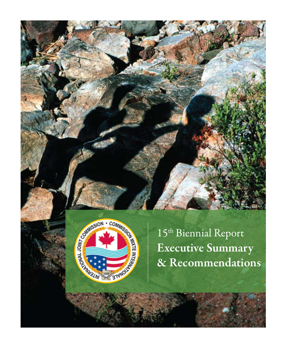



15th Biennial Report Executive Summary & Recommendations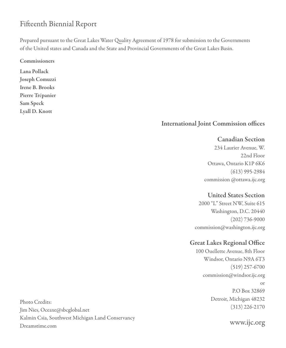# Fifteenth Biennial Report

Prepared pursuant to the Great Lakes Water Quality Agreement of 1978 for submission to the Governments of the United states and Canada and the State and Provincial Governments of the Great Lakes Basin.

Commissioners

Lana Pollack Joseph Comuzzi Irene B. Brooks Pierre Trépanier Sam Speck Lyall D. Knott

# International Joint Commission offices

### Canadian Section

234 Laurier Avenue, W. 22nd Floor Ottawa, Ontario K1P 6K6 (613) 995-2984 commission @ottawa.ijc.org

## United States Section

2000 "L" Street NW, Suite 615 Washington, D.C. 20440 (202) 736-9000 commission@washington.ijc.org

## Great Lakes Regional Office

100 Ouellette Avenue, 8th Floor Windsor, Ontario N9A 6T3 (519) 257-6700 commission@windsor.ijc.org or P.O Box 32869 Detroit, Michigan 48232 (313) 226-2170

Photo Credits: Jim Nies, Oceaxe@sbcglobal.net Kalmin Csia, Southwest Michigan Land Conservancy Dreamstime.com

www.ijc.org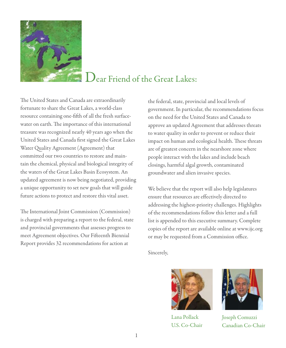

# Dear Friend of the Great Lakes:

The United States and Canada are extraordinarily fortunate to share the Great Lakes, a world-class resource containing one-fifth of all the fresh surfacewater on earth. The importance of this international treasure was recognized nearly 40 years ago when the United States and Canada first signed the Great Lakes Water Quality Agreement (Agreement) that committed our two countries to restore and maintain the chemical, physical and biological integrity of the waters of the Great Lakes Basin Ecosystem. An updated agreement is now being negotiated, providing a unique opportunity to set new goals that will guide future actions to protect and restore this vital asset.

The International Joint Commission (Commission) is charged with preparing a report to the federal, state and provincial governments that assesses progress to meet Agreement objectives. Our Fifteenth Biennial Report provides 32 recommendations for action at

the federal, state, provincial and local levels of government. In particular, the recommendations focus on the need for the United States and Canada to approve an updated Agreement that addresses threats to water quality in order to prevent or reduce their impact on human and ecological health. These threats are of greatest concern in the nearshore zone where people interact with the lakes and include beach closings, harmful algal growth, contaminated groundwater and alien invasive species.

We believe that the report will also help legislatures ensure that resources are effectively directed to addressing the highest-priority challenges. Highlights of the recommendations follow this letter and a full list is appended to this executive summary. Complete copies of the report are available online at www.ijc.org or may be requested from a Commission office.

Sincerely,



Lana Pollack U.S. Co-Chair



Joseph Comuzzi Canadian Co-Chair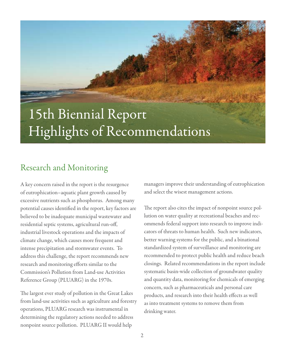# 15th Biennial Report Highlights of Recommendations

# Research and Monitoring

A key concern raised in the report is the resurgence of eutrophication–aquatic plant growth caused by excessive nutrients such as phosphorus. Among many potential causes identified in the report, key factors are believed to be inadequate municipal wastewater and residential septic systems, agricultural run-off, industrial livestock operations and the impacts of climate change, which causes more frequent and intense precipitation and stormwater events. To address this challenge, the report recommends new research and monitoring efforts similar to the Commission's Pollution from Land-use Activities Reference Group (PLUARG) in the 1970s.

The largest ever study of pollution in the Great Lakes from land-use activities such as agriculture and forestry operations, PLUARG research was instrumental in determining the regulatory actions needed to address nonpoint source pollution. PLUARG II would help

managers improve their understanding of eutrophication and select the wisest management actions.

The report also cites the impact of nonpoint source pollution on water quality at recreational beaches and recommends federal support into research to improve indicators of threats to human health. Such new indicators, better warning systems for the public, and a binational standardized system of surveillance and monitoring are recommended to protect public health and reduce beach closings. Related recommendations in the report include systematic basin-wide collection of groundwater quality and quantity data, monitoring for chemicals of emerging concern, such as pharmaceuticals and personal care products, and research into their health effects as well as into treatment systems to remove them from drinking water.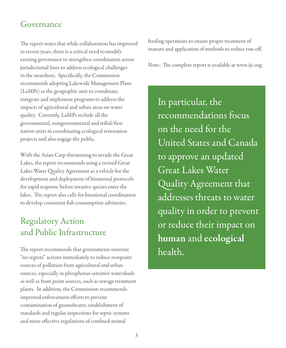# Governance

The report notes that while collaboration has improved in recent years, there is a critical need to modify existing governance to strengthen coordination across jurisdictional lines to address ecological challenges in the nearshore. Specifically, the Commission recommends adopting Lakewide Management Plans (LaMPs) as the geographic unit to coordinate, integrate and implement programs to address the impacts of agricultural and urban areas on water quality. Currently, LaMPs include all the governmental, nongovernmental and tribal/first nation units in coordinating ecological restoration projects and also engage the public.

With the Asian Carp threatening to invade the Great Lakes, the report recommends using a revised Great Lakes Water Quality Agreement as a vehicle for the development and deployment of binational protocols for rapid response before invasive species enter the lakes. The report also calls for binational coordination to develop consistent fish consumption advisories.

# Regulatory Action and Public Infrastructure

The report recommends that governments institute "no regrets" actions immediately to reduce nonpoint sources of pollution from agricultural and urban sources, especially in phosphorus-sensitive watersheds as well as from point sources, such as sewage treatment plants. In addition, the Commission recommends improved enforcement efforts to prevent contamination of groundwater, establishment of standards and regular inspections for septic systems and more effective regulations of confined animal

feeding operations to ensure proper treatment of manure and application of methods to reduce run-off.

Note: The complete report is available at www.ijc.org.

In particular, the recommendations focus on the need for the United States and Canada to approve an updated Great Lakes Water Quality Agreement that addresses threats to water quality in order to prevent or reduce their impact on human and ecological health.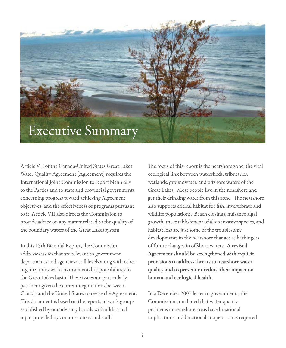# Executive Summary

Article VII of the Canada-United States Great Lakes Water Quality Agreement (Agreement) requires the International Joint Commission to report biennially to the Parties and to state and provincial governments concerning progress toward achieving Agreement objectives, and the effectiveness of programs pursuant to it. Article VII also directs the Commission to provide advice on any matter related to the quality of the boundary waters of the Great Lakes system.

In this 15th Biennial Report, the Commission addresses issues that are relevant to government departments and agencies at all levels along with other organizations with environmental responsibilities in the Great Lakes basin. These issues are particularly pertinent given the current negotiations between Canada and the United States to revise the Agreement. This document is based on the reports of work groups established by our advisory boards with additional input provided by commissioners and staff.

The focus of this report is the nearshore zone, the vital ecological link between watersheds, tributaries, wetlands, groundwater, and offshore waters of the Great Lakes. Most people live in the nearshore and get their drinking water from this zone. The nearshore also supports critical habitat for fish, invertebrate and wildlife populations. Beach closings, nuisance algal growth, the establishment of alien invasive species, and habitat loss are just some of the troublesome developments in the nearshore that act as harbingers of future changes in offshore waters. A revised Agreement should be strengthened with explicit provisions to address threats to nearshore water quality and to prevent or reduce their impact on human and ecological health.

In a December 2007 letter to governments, the Commission concluded that water quality problems in nearshore areas have binational implications and binational cooperation is required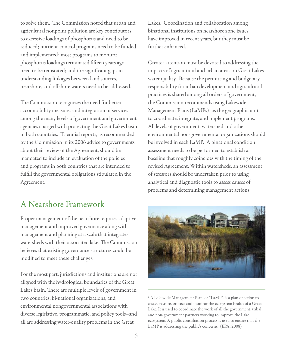to solve them. The Commission noted that urban and agricultural nonpoint pollution are key contributors to excessive loadings of phosphorus and need to be reduced; nutrient-control programs need to be funded and implemented; most programs to monitor phosphorus loadings terminated fifteen years ago need to be reinstated; and the significant gaps in understanding linkages between land sources, nearshore, and offshore waters need to be addressed.

The Commission recognizes the need for better accountability measures and integration of services among the many levels of government and government agencies charged with protecting the Great Lakes basin in both countries. Triennial reports, as recommended by the Commission in its 2006 advice to governments about their review of the Agreement, should be mandated to include an evaluation of the policies and programs in both countries that are intended to fulfill the governmental obligations stipulated in the Agreement.

# A Nearshore Framework

Proper management of the nearshore requires adaptive management and improved governance along with management and planning at a scale that integrates watersheds with their associated lake. The Commission believes that existing governance structures could be modified to meet these challenges.

For the most part, jurisdictions and institutions are not aligned with the hydrological boundaries of the Great Lakes basin. There are multiple levels of government in two countries, bi-national organizations, and environmental nongovernmental associations with diverse legislative, programmatic, and policy tools–and all are addressing water-quality problems in the Great

Lakes. Coordination and collaboration among binational institutions on nearshore zone issues have improved in recent years, but they must be further enhanced.

Greater attention must be devoted to addressing the impacts of agricultural and urban areas on Great Lakes water quality. Because the permitting and budgetary responsibility for urban development and agricultural practices is shared among all orders of government, the Commission recommends using Lakewide Management Plans (LaMPs)<sup>1</sup> as the geographic unit to coordinate, integrate, and implement programs. All levels of government, watershed and other environmental non-governmental organizations should be involved in each LaMP. A binational condition assessment needs to be performed to establish a baseline that roughly coincides with the timing of the revised Agreement. Within watersheds, an assessment of stressors should be undertaken prior to using analytical and diagnostic tools to assess causes of problems and determining management actions.



1 A Lakewide Management Plan, or "LaMP", is a plan of action to assess, restore, protect and monitor the ecosystem health of a Great Lake. It is used to coordinate the work of all the government, tribal, and non-government partners working to improve the Lake ecosystem. A public consultation process is used to ensure that the LaMP is addressing the public's concerns. (EPA, 2008)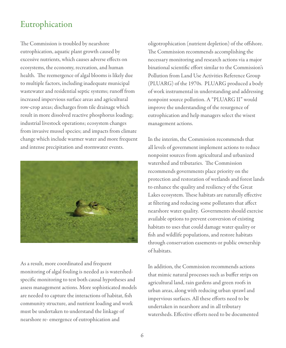# Eutrophication

The Commission is troubled by nearshore eutrophication, aquatic plant growth caused by excessive nutrients, which causes adverse effects on ecosystems, the economy, recreation, and human health. The reemergence of algal blooms is likely due to multiple factors, including inadequate municipal wastewater and residential septic systems; runoff from increased impervious surface areas and agricultural row-crop areas; discharges from tile drainage which result in more dissolved reactive phosphorus loading; industrial livestock operations; ecosystem changes from invasive mussel species; and impacts from climate change which include warmer water and more frequent and intense precipitation and stormwater events.



As a result, more coordinated and frequent monitoring of algal fouling is needed as is watershedspecific monitoring to test both causal hypotheses and assess management actions. More sophisticated models are needed to capture the interactions of habitat, fish community structure, and nutrient loading and work must be undertaken to understand the linkage of nearshore re- emergence of eutrophication and

oligotrophication (nutrient depletion) of the offshore. The Commission recommends accomplishing the necessary monitoring and research actions via a major binational scientific effort similar to the Commission's Pollution from Land Use Activities Reference Group (PLUARG) of the 1970s. PLUARG produced a body of work instrumental in understanding and addressing nonpoint source pollution. A "PLUARG II" would improve the understanding of the resurgence of eutrophication and help managers select the wisest management actions.

In the interim, the Commission recommends that all levels of government implement actions to reduce nonpoint sources from agricultural and urbanized watershed and tributaries. The Commission recommends governments place priority on the protection and restoration of wetlands and forest lands to enhance the quality and resiliency of the Great Lakes ecosystem. These habitats are naturally effective at filtering and reducing some pollutants that affect nearshore water quality. Governments should exercise available options to prevent conversion of existing habitats to uses that could damage water quality or fish and wildlife populations, and restore habitats through conservation easements or public ownership of habitats.

In addition, the Commission recommends actions that mimic natural processes such as buffer strips on agricultural land, rain gardens and green roofs in urban areas, along with reducing urban sprawl and impervious surfaces. All these efforts need to be undertaken in nearshore and in all tributary watersheds. Effective efforts need to be documented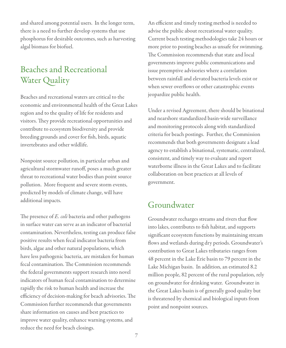and shared among potential users. In the longer term, there is a need to further develop systems that use phosphorus for desirable outcomes, such as harvesting algal biomass for biofuel.

# Beaches and Recreational Water Quality

Beaches and recreational waters are critical to the economic and environmental health of the Great Lakes region and to the quality of life for residents and visitors. They provide recreational opportunities and contribute to ecosystem biodiversity and provide breeding grounds and cover for fish, birds, aquatic invertebrates and other wildlife.

Nonpoint source pollution, in particular urban and agricultural stormwater runoff, poses a much greater threat to recreational water bodies than point source pollution. More frequent and severe storm events, predicted by models of climate change, will have additional impacts.

The presence of *E. coli* bacteria and other pathogens in surface water can serve as an indicator of bacterial contamination. Nevertheless, testing can produce false positive results when fecal indicator bacteria from birds, algae and other natural populations, which have less pathogenic bacteria, are mistaken for human fecal contamination. The Commission recommends the federal governments support research into novel indicators of human fecal contamination to determine rapidly the risk to human health and increase the efficiency of decision-making for beach advisories. The Commission further recommends that governments share information on causes and best practices to improve water quality, enhance warning systems, and reduce the need for beach closings.

An efficient and timely testing method is needed to advise the public about recreational water quality. Current beach testing methodologies take 24 hours or more prior to posting beaches as unsafe for swimming. The Commission recommends that state and local governments improve public communications and issue preemptive advisories where a correlation between rainfall and elevated bacteria levels exist or when sewer overflows or other catastrophic events jeopardize public health.

Under a revised Agreement, there should be binational and nearshore standardized basin-wide surveillance and monitoring protocols along with standardized criteria for beach postings. Further, the Commission recommends that both governments designate a lead agency to establish a binational, systematic, centralized, consistent, and timely way to evaluate and report waterborne illness in the Great Lakes and to facilitate collaboration on best practices at all levels of government.

# Groundwater

Groundwater recharges streams and rivers that flow into lakes, contributes to fish habitat, and supports significant ecosystem functions by maintaining stream flows and wetlands during dry periods. Groundwater's contribution to Great Lakes tributaries ranges from 48 percent in the Lake Erie basin to 79 percent in the Lake Michigan basin. In addition, an estimated 8.2 million people, 82 percent of the rural population, rely on groundwater for drinking water. Groundwater in the Great Lakes basin is of generally good quality but is threatened by chemical and biological inputs from point and nonpoint sources.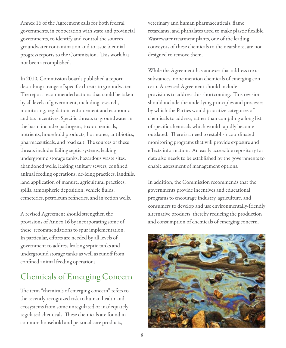Annex 16 of the Agreement calls for both federal governments, in cooperation with state and provincial governments, to identify and control the sources groundwater contamination and to issue biennial progress reports to the Commission. This work has not been accomplished.

In 2010, Commission boards published a report describing a range of specific threats to groundwater. The report recommended actions that could be taken by all levels of government, including research, monitoring, regulation, enforcement and economic and tax incentives. Specific threats to groundwater in the basin include: pathogens, toxic chemicals, nutrients, household products, hormones, antibiotics, pharmaceuticals, and road salt. The sources of these threats include: failing septic systems, leaking underground storage tanks, hazardous waste sites, abandoned wells, leaking sanitary sewers, confined animal feeding operations, de-icing practices, landfills, land application of manure, agricultural practices, spills, atmospheric deposition, vehicle fluids, cemeteries, petroleum refineries, and injection wells.

A revised Agreement should strengthen the provisions of Annex 16 by incorporating some of these recommendations to spur implementation. In particular, efforts are needed by all levels of government to address leaking septic tanks and underground storage tanks as well as runoff from confined animal feeding operations.

# Chemicals of Emerging Concern

The term "chemicals of emerging concern" refers to the recently recognized risk to human health and ecosystems from some unregulated or inadequately regulated chemicals. These chemicals are found in common household and personal care products,

veterinary and human pharmaceuticals, flame retardants, and phthalates used to make plastic flexible. Wastewater treatment plants, one of the leading conveyors of these chemicals to the nearshore, are not designed to remove them.

While the Agreement has annexes that address toxic substances, none mention chemicals of emerging concern. A revised Agreement should include provisions to address this shortcoming. This revision should include the underlying principles and processes by which the Parties would prioritize categories of chemicals to address, rather than compiling a long list of specific chemicals which would rapidly become outdated. There is a need to establish coordinated monitoring programs that will provide exposure and effects information. An easily accessible repository for data also needs to be established by the governments to enable assessment of management options.

In addition, the Commission recommends that the governments provide incentives and educational programs to encourage industry, agriculture, and consumers to develop and use environmentally-friendly alternative products, thereby reducing the production and consumption of chemicals of emerging concern.

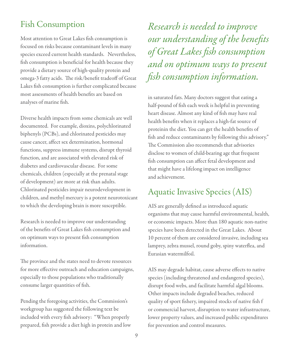# Fish Consumption

Most attention to Great Lakes fish consumption is focused on risks because contaminant levels in many species exceed current health standards. Nevertheless, fish consumption is beneficial for health because they provide a dietary source of high-quality protein and omega-3 fatty acids. The risk/benefit tradeoff of Great Lakes fish consumption is further complicated because most assessments of health benefits are based on analyses of marine fish.

Diverse health impacts from some chemicals are well documented. For example, dioxins, polychlorinated biphenyls (PCBs), and chlorinated pesticides may cause cancer, affect sex determination, hormonal functions, suppress immune systems, disrupt thyroid function, and are associated with elevated risk of diabetes and cardiovascular disease. For some chemicals, children (especially at the prenatal stage of development) are more at risk than adults. Chlorinated pesticides impair neurodevelopment in children, and methyl mercury is a potent neurotoxicant to which the developing brain is more susceptible.

Research is needed to improve our understanding of the benefits of Great Lakes fish consumption and on optimum ways to present fish consumption information.

The province and the states need to devote resources for more effective outreach and education campaigns, especially to those populations who traditionally consume larger quantities of fish.

Pending the foregoing activities, the Commission's workgroup has suggested the following text be included with every fish advisory: "When properly prepared, fish provide a diet high in protein and low

*Research is needed to improve our understanding of the benefits of Great Lakes fish consumption and on optimum ways to present fish consumption information.*

in saturated fats. Many doctors suggest that eating a half-pound of fish each week is helpful in preventing heart disease. Almost any kind of fish may have real health benefits when it replaces a high-fat source of proteinin the diet. You can get the health benefits of fish and reduce contaminants by following this advisory." The Commission also recommends that advisories disclose to women of child-bearing age that frequent fish consumption can affect fetal development and that might have a lifelong impact on intelligence and achievement.

# Aquatic Invasive Species (AIS)

AIS are generally defined as introduced aquatic organisms that may cause harmful environmental, health, or economic impacts. More than 180 aquatic non-native species have been detected in the Great Lakes. About 10 percent of them are considered invasive, including sea lamprey, zebra mussel, round goby, spiny waterflea, and Eurasian watermilfoil.

AIS may degrade habitat, cause adverse effects to native species (including threatened and endangered species), disrupt food webs, and facilitate harmful algal blooms. Other impacts include degraded beaches, reduced quality of sport fishery, impaired stocks of native fish f or commercial harvest, disruption to water infrastructure, lower property values, and increased public expenditures for prevention and control measures.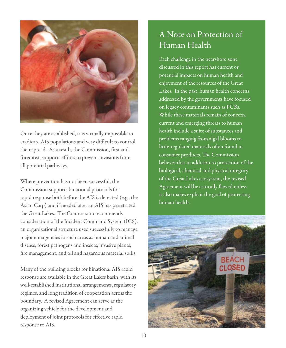

Once they are established, it is virtually impossible to eradicate AIS populations and very difficult to control their spread. As a result, the Commission, first and foremost, supports efforts to prevent invasions from all potential pathways.

Where prevention has not been successful, the Commission supports binational protocols for rapid response both before the AIS is detected (e.g., the Asian Carp) and if needed after an AIS has penetrated the Great Lakes. The Commission recommends consideration of the Incident Command System (ICS), an organizational structure used successfully to manage major emergencies in such areas as human and animal disease, forest pathogens and insects, invasive plants, fire management, and oil and hazardous material spills.

Many of the building blocks for binational AIS rapid response are available in the Great Lakes basin, with its well-established institutional arrangements, regulatory regimes, and long tradition of cooperation across the boundary. A revised Agreement can serve as the organizing vehicle for the development and deployment of joint protocols for effective rapid response to AIS.

# A Note on Protection of Human Health

Each challenge in the nearshore zone discussed in this report has current or potential impacts on human health and enjoyment of the resources of the Great Lakes. In the past, human health concerns addressed by the governments have focused on legacy contaminants such as PCBs. While these materials remain of concern, current and emerging threats to human health include a suite of substances and problems ranging from algal blooms to little-regulated materials often found in consumer products. The Commission believes that in addition to protection of the biological, chemical and physical integrity of the Great Lakes ecosystem, the revised Agreement will be critically flawed unless it also makes explicit the goal of protecting human health.

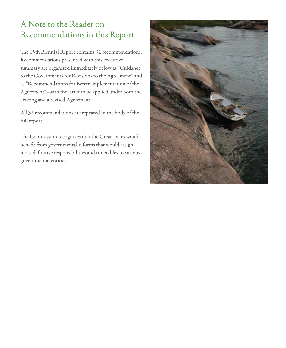# A Note to the Reader on Recommendations in this Report

The 15th Biennial Report contains 32 recommendations. Recommendations presented with this executive summary are organized immediately below as "Guidance to the Governments for Revisions to the Agreement" and as "Recommendations for Better Implementation of the Agreement"–with the latter to be applied under both the existing and a revised Agreement.

All 32 recommendations are repeated in the body of the full report.

The Commission recognizes that the Great Lakes would benefit from governmental reforms that would assign more definitive responsibilities and timetables to various governmental entities.

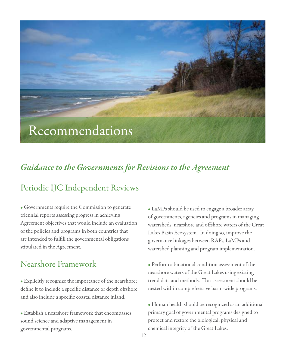# Recommendations

# *Guidance to the Governments for Revisions to the Agreement*

# Periodic IJC Independent Reviews

• Governments require the Commission to generate triennial reports assessing progress in achieving Agreement objectives that would include an evaluation of the policies and programs in both countries that are intended to fulfill the governmental obligations stipulated in the Agreement.

# Nearshore Framework

• Explicitly recognize the importance of the nearshore; define it to include a specific distance or depth offshore and also include a specific coastal distance inland.

• Establish a nearshore framework that encompasses sound science and adaptive management in governmental programs.

• LaMPs should be used to engage a broader array of governments, agencies and programs in managing watersheds, nearshore and offshore waters of the Great Lakes Basin Ecosystem. In doing so, improve the governance linkages between RAPs, LaMPs and watershed planning and program implementation.

• Perform a binational condition assessment of the nearshore waters of the Great Lakes using existing trend data and methods. This assessment should be nested within comprehensive basin-wide programs.

• Human health should be recognized as an additional primary goal of governmental programs designed to protect and restore the biological, physical and chemical integrity of the Great Lakes.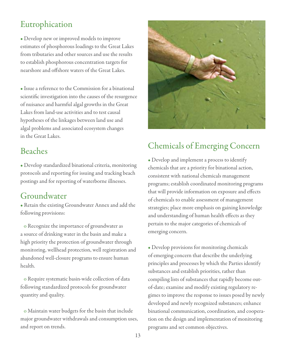# Eutrophication

• Develop new or improved models to improve estimates of phosphorous loadings to the Great Lakes from tributaries and other sources and use the results to establish phosphorous concentration targets for nearshore and offshore waters of the Great Lakes.

• Issue a reference to the Commission for a binational scientific investigation into the causes of the resurgence of nuisance and harmful algal growths in the Great Lakes from land-use activities and to test causal hypotheses of the linkages between land use and algal problems and associated ecosystem changes in the Great Lakes.

# Beaches

• Develop standardized binational criteria, monitoring protocols and reporting for issuing and tracking beach postings and for reporting of waterborne illnesses.

# Groundwater

• Retain the existing Groundwater Annex and add the following provisions:

 o Recognize the importance of groundwater as a source of drinking water in the basin and make a high priority the protection of groundwater through monitoring, wellhead protection, well registration and abandoned well-closure programs to ensure human health.

 o Require systematic basin-wide collection of data following standardized protocols for groundwater quantity and quality.

 o Maintain water budgets for the basin that include major groundwater withdrawals and consumption uses, and report on trends.



# Chemicals of Emerging Concern

• Develop and implement a process to identify chemicals that are a priority for binational action, consistent with national chemicals management programs; establish coordinated monitoring programs that will provide information on exposure and effects of chemicals to enable assessment of management strategies; place more emphasis on gaining knowledge and understanding of human health effects as they pertain to the major categories of chemicals of emerging concern.

• Develop provisions for monitoring chemicals of emerging concern that describe the underlying principles and processes by which the Parties identify substances and establish priorities, rather than compiling lists of substances that rapidly become outof-date; examine and modify existing regulatory regimes to improve the response to issues posed by newly developed and newly recognized substances; enhance binational communication, coordination, and cooperation on the design and implementation of monitoring programs and set common objectives.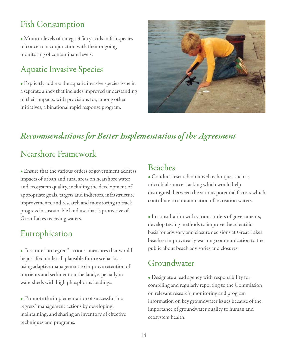# Fish Consumption

• Monitor levels of omega-3 fatty acids in fish species of concern in conjunction with their ongoing monitoring of contaminant levels.

# Aquatic Invasive Species

• Explicitly address the aquatic invasive species issue in a separate annex that includes improved understanding of their impacts, with provisions for, among other initiatives, a binational rapid response program.



# *Recommendations for Better Implementation of the Agreement*

# Nearshore Framework

• Ensure that the various orders of government address impacts of urban and rural areas on nearshore water and ecosystem quality, including the development of appropriate goals, targets and indictors, infrastructure improvements, and research and monitoring to track progress in sustainable land use that is protective of Great Lakes receiving waters.

# Eutrophication

• Institute "no regrets" actions–measures that would be justified under all plausible future scenarios– using adaptive management to improve retention of nutrients and sediment on the land, especially in watersheds with high phosphorus loadings.

• Promote the implementation of successful "no regrets" management actions by developing, maintaining, and sharing an inventory of effective techniques and programs.

# Beaches

• Conduct research on novel techniques such as microbial source tracking which would help distinguish between the various potential factors which contribute to contamination of recreation waters.

• In consultation with various orders of governments, develop testing methods to improve the scientific basis for advisory and closure decisions at Great Lakes beaches; improve early-warning communication to the public about beach advisories and closures.

# Groundwater

• Designate a lead agency with responsibility for compiling and regularly reporting to the Commission on relevant research, monitoring and program information on key groundwater issues because of the importance of groundwater quality to human and ecosystem health.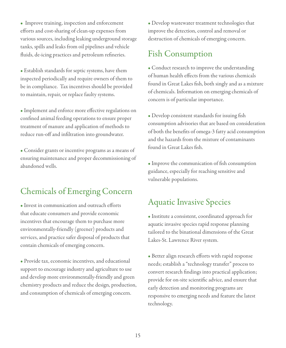• Improve training, inspection and enforcement efforts and cost-sharing of clean-up expenses from various sources, including leaking underground storage tanks, spills and leaks from oil pipelines and vehicle fluids, de-icing practices and petroleum refineries.

• Establish standards for septic systems, have them inspected periodically and require owners of them to be in compliance. Tax incentives should be provided to maintain, repair, or replace faulty systems.

• Implement and enforce more effective regulations on confined animal feeding operations to ensure proper treatment of manure and application of methods to reduce run-off and infiltration into groundwater.

• Consider grants or incentive programs as a means of ensuring maintenance and proper decommissioning of abandoned wells.

# Chemicals of Emerging Concern

• Invest in communication and outreach efforts that educate consumers and provide economic incentives that encourage them to purchase more environmentally-friendly (greener) products and services, and practice safer disposal of products that contain chemicals of emerging concern.

• Provide tax, economic incentives, and educational support to encourage industry and agriculture to use and develop more environmentally-friendly and green chemistry products and reduce the design, production, and consumption of chemicals of emerging concern.

• Develop wastewater treatment technologies that improve the detection, control and removal or destruction of chemicals of emerging concern.

# Fish Consumption

• Conduct research to improve the understanding of human health effects from the various chemicals found in Great Lakes fish, both singly and as a mixture of chemicals. Information on emerging chemicals of concern is of particular importance.

• Develop consistent standards for issuing fish consumption advisories that are based on consideration of both the benefits of omega-3 fatty acid consumption and the hazards from the mixture of contaminants found in Great Lakes fish.

• Improve the communication of fish consumption guidance, especially for reaching sensitive and vulnerable populations.

# Aquatic Invasive Species

• Institute a consistent, coordinated approach for aquatic invasive species rapid response planning tailored to the binational dimensions of the Great Lakes-St. Lawrence River system.

• Better align research efforts with rapid response needs; establish a "technology transfer" process to convert research findings into practical application; provide for on-site scientific advice, and ensure that early detection and monitoring programs are responsive to emerging needs and feature the latest technology.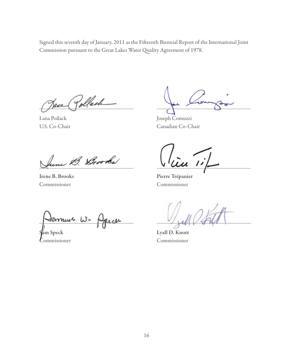Signed this seventh day of January, 2011 as the Fifteenth Biennial Report of the International Joint Commission pursuant to the Great Lakes Water Quality Agreement of 1978.

Jew Pollach

Lana Pollack U.S. Co-Chair

hine B. Brooks

Irene B. Brooks Commissioner

Joseph Comuzzi Canadian Co-Chair

Pierre Trépanier Commissioner

Lyall D. Knott Commissioner

Jamuu Sam Speck

Commissioner